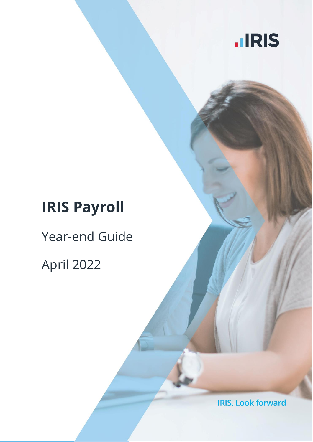

# **IRIS Payroll**

Year-end Guide

April 2022

**IRIS. Look forward**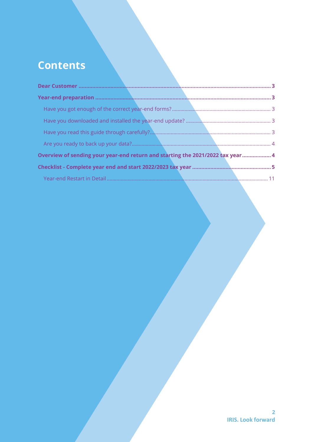## **Contents**

| Overview of sending your year-end return and starting the 2021/2022 tax year 4 |  |
|--------------------------------------------------------------------------------|--|
|                                                                                |  |
|                                                                                |  |
|                                                                                |  |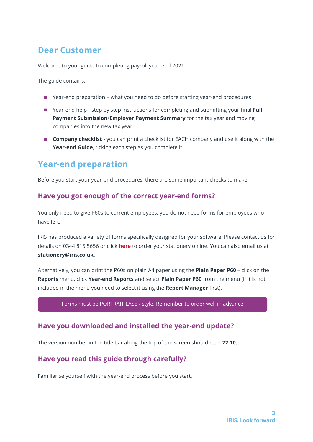## <span id="page-2-0"></span>**Dear Customer**

Welcome to your guide to completing payroll year-end 2021.

The guide contains:

- Year-end preparation what you need to do before starting year-end procedures
- Year-end help step by step instructions for completing and submitting your final **Full Payment Submission**/**Employer Payment Summary** for the tax year and moving companies into the new tax year
- **EXCOMPANY checklist** you can print a checklist for EACH company and use it along with the **Year-end Guide**, ticking each step as you complete it

## <span id="page-2-1"></span>**Year-end preparation**

Before you start your year-end procedures, there are some important checks to make:

### <span id="page-2-2"></span>**Have you got enough of the correct year-end forms?**

You only need to give P60s to current employees; you do not need forms for employees who have left.

IRIS has produced a variety of forms specifically designed for your software. Please contact us for details on 0344 815 5656 or click **[here](http://www.iris.co.uk/store/stationery)** to order your stationery online. You can also email us at **stationery@iris.co.uk**.

Alternatively, you can print the P60s on plain A4 paper using the **Plain Paper P60** – click on the **Reports** menu, click **Year-end Reports** and select **Plain Paper P60** from the menu (if it is not included in the menu you need to select it using the **Report Manager** first).

Forms must be PORTRAIT LASER style. Remember to order well in advance

## <span id="page-2-3"></span>**Have you downloaded and installed the year-end update?**

The version number in the title bar along the top of the screen should read **22.10**.

## <span id="page-2-4"></span>**Have you read this guide through carefully?**

Familiarise yourself with the year-end process before you start.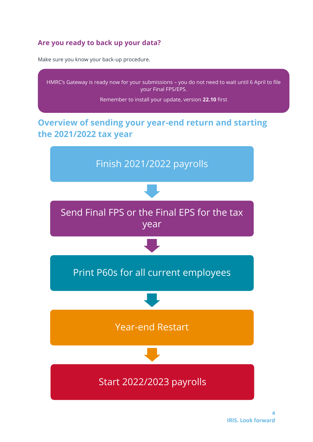## <span id="page-3-0"></span>**Are you ready to back up your data?**

Make sure you know your back-up procedure.

<span id="page-3-1"></span>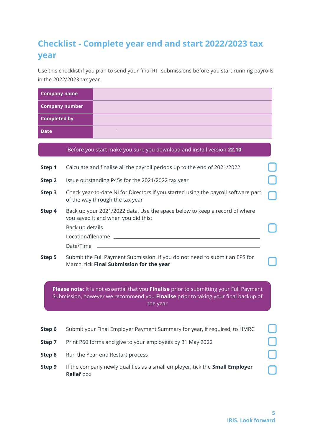## <span id="page-4-0"></span>**Checklist - Complete year end and start 2022/2023 tax year**

Use this checklist if you plan to send your final RTI submissions before you start running payrolls in the 2022/2023 tax year.

| <b>Company name</b>                                                                                                                                                                        |                   |                                                                                                                          |  |  |
|--------------------------------------------------------------------------------------------------------------------------------------------------------------------------------------------|-------------------|--------------------------------------------------------------------------------------------------------------------------|--|--|
| <b>Company number</b>                                                                                                                                                                      |                   |                                                                                                                          |  |  |
| <b>Completed by</b>                                                                                                                                                                        |                   |                                                                                                                          |  |  |
| <b>Date</b>                                                                                                                                                                                |                   |                                                                                                                          |  |  |
|                                                                                                                                                                                            |                   | Before you start make you sure you download and install version 22.10                                                    |  |  |
| Step 1                                                                                                                                                                                     |                   | Calculate and finalise all the payroll periods up to the end of 2021/2022                                                |  |  |
| Step 2                                                                                                                                                                                     |                   | Issue outstanding P45s for the 2021/2022 tax year                                                                        |  |  |
| Step 3                                                                                                                                                                                     |                   | Check year-to-date NI for Directors if you started using the payroll software part<br>of the way through the tax year    |  |  |
| Step 4                                                                                                                                                                                     | Back up details   | Back up your 2021/2022 data. Use the space below to keep a record of where<br>you saved it and when you did this:        |  |  |
| Step 5                                                                                                                                                                                     | Date/Time         | Submit the Full Payment Submission. If you do not need to submit an EPS for<br>March, tick Final Submission for the year |  |  |
| Please note: It is not essential that you Finalise prior to submitting your Full Payment<br>Submission, however we recommend you Finalise prior to taking your final backup of<br>the year |                   |                                                                                                                          |  |  |
| Step 6                                                                                                                                                                                     |                   | Submit your Final Employer Payment Summary for year, if required, to HMRC                                                |  |  |
| Step 7                                                                                                                                                                                     |                   | Print P60 forms and give to your employees by 31 May 2022                                                                |  |  |
| Step 8                                                                                                                                                                                     |                   | Run the Year-end Restart process                                                                                         |  |  |
| Step 9                                                                                                                                                                                     | <b>Relief box</b> | If the company newly qualifies as a small employer, tick the Small Employer                                              |  |  |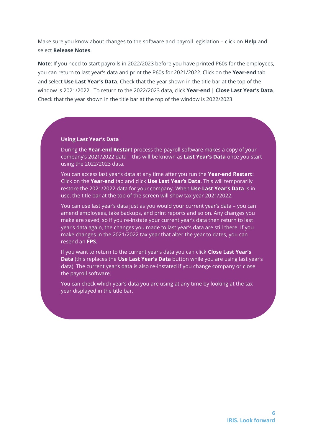Make sure you know about changes to the software and payroll legislation – click on **Help** and select **Release Notes**.

**Note**: If you need to start payrolls in 2022/2023 before you have printed P60s for the employees, you can return to last year's data and print the P60s for 2021/2022. Click on the **Year-end** tab and select **Use Last Year's Data**. Check that the year shown in the title bar at the top of the window is 2021/2022. To return to the 2022/2023 data, click **Year-end | Close Last Year's Data**. Check that the year shown in the title bar at the top of the window is 2022/2023.

#### <span id="page-5-0"></span>**Using Last Year's Data**

During the **Year-end Restart** process the payroll software makes a copy of your company's 2021/2022 data – this will be known as **Last Year's Data** once you start using the 2022/2023 data.

You can access last year's data at any time after you run the **Year-end Restart**: Click on the **Year-end** tab and click **Use Last Year's Data**. This will temporarily restore the 2021/2022 data for your company. When **Use Last Year's Data** is in use, the title bar at the top of the screen will show tax year 2021/2022.

You can use last year's data just as you would your current year's data – you can amend employees, take backups, and print reports and so on. Any changes you make are saved, so if you re-instate your current year's data then return to last year's data again, the changes you made to last year's data are still there. If you make changes in the 2021/2022 tax year that alter the year to dates, you can resend an **FPS**.

If you want to return to the current year's data you can click **Close Last Year's Data** (this replaces the **Use Last Year's Data** button while you are using last year's data). The current year's data is also re-instated if you change company or close the payroll software.

You can check which year's data you are using at any time by looking at the tax year displayed in the title bar.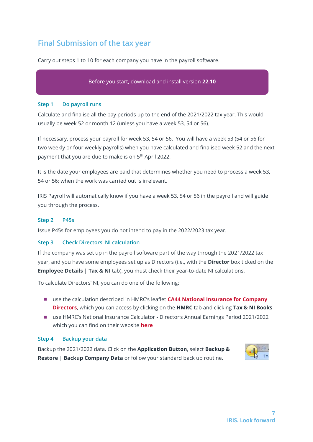## **Final Submission of the tax year**

Carry out steps 1 to 10 for each company you have in the payroll software.

#### Before you start, download and install version **22.10**

#### **Step 1 Do payroll runs**

Calculate and finalise all the pay periods up to the end of the 2021/2022 tax year. This would usually be week 52 or month 12 (unless you have a week 53, 54 or 56).

If necessary, process your payroll for week 53, 54 or 56. You will have a week 53 (54 or 56 for two weekly or four weekly payrolls) when you have calculated and finalised week 52 and the next payment that you are due to make is on 5<sup>th</sup> April 2022.

It is the date your employees are paid that determines whether you need to process a week 53, 54 or 56; when the work was carried out is irrelevant.

IRIS Payroll will automatically know if you have a week 53, 54 or 56 in the payroll and will guide you through the process.

#### **Step 2 P45s**

Issue P45s for employees you do not intend to pay in the 2022/2023 tax year.

#### **Step 3 Check Directors' NI calculation**

If the company was set up in the payroll software part of the way through the 2021/2022 tax year, and you have some employees set up as Directors (i.e., with the **Director** box ticked on the **Employee Details | Tax & NI** tab), you must check their year-to-date NI calculations.

To calculate Directors' NI, you can do one of the following:

- use the calculation described in HMRC's leaflet **CA44 National Insurance for Company [Directors](https://www.gov.uk/government/publications/ca44-national-insurance-for-company-directors)**, which you can access by clicking on the **HMRC** tab and clicking **Tax & NI Books**
- use HMRC's National Insurance Calculator Director's Annual Earnings Period 2021/2022 which you can find on their website **[here](https://www.gov.uk/government/collections/how-to-manually-check-your-payroll-calculations)**

#### **Step 4 Backup your data**

Backup the 2021/2022 data. Click on the **Application Button**, select **Backup & Restore** | **Backup Company Data** or follow your standard back up routine.

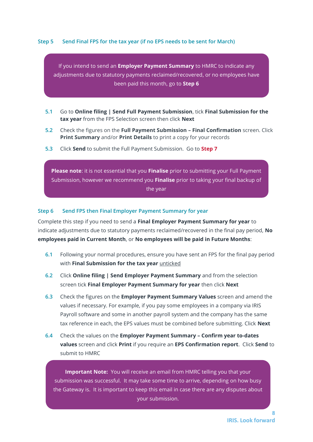#### **Step 5 Send Final FPS for the tax year (if no EPS needs to be sent for March)**

If you intend to send an **Employer Payment Summary** to HMRC to indicate any adjustments due to statutory payments reclaimed/recovered, or no employees have been paid this month, go to **Step 6**

- **5.1** Go to **Online filing | Send Full Payment Submission**, tick **Final Submission for the tax year** from the FPS Selection screen then click **Next**
- **5.2** Check the figures on the **Full Payment Submission – Final Confirmation** screen. Click **Print Summary** and/or **Print Details** to print a copy for your records
- **5.3** Click **Send** to submit the Full Payment Submission. Go to **[Step](#page-8-0) 7**

**Please note**: it is not essential that you **Finalise** prior to submitting your Full Payment Submission, however we recommend you **Finalise** prior to taking your final backup of the year

#### **Step 6 Send FPS then Final Employer Payment Summary for year**

Complete this step if you need to send a **Final Employer Payment Summary for year** to indicate adjustments due to statutory payments reclaimed/recovered in the final pay period, **No employees paid in Current Month**, or **No employees will be paid in Future Months**:

- **6.1** Following your normal procedures, ensure you have sent an FPS for the final pay period with **Final Submission for the tax year** unticked
- **6.2** Click **Online filing | Send Employer Payment Summary** and from the selection screen tick **Final Employer Payment Summary for year** then click **Next**
- **6.3** Check the figures on the **Employer Payment Summary Values** screen and amend the values if necessary. For example, if you pay some employees in a company via IRIS Payroll software and some in another payroll system and the company has the same tax reference in each, the EPS values must be combined before submitting. Click **Next**
- **6.4** Check the values on the **Employer Payment Summary – Confirm year to-dates values** screen and click **Print** if you require an **EPS Confirmation report**. Click **Send** to submit to HMRC

**Important Note:** You will receive an email from HMRC telling you that your submission was successful. It may take some time to arrive, depending on how busy the Gateway is. It is important to keep this email in case there are any disputes about your submission.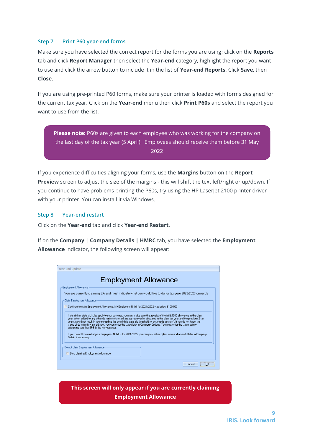#### <span id="page-8-0"></span>**Step 7 Print P60 year-end forms**

Make sure you have selected the correct report for the forms you are using; click on the **Reports** tab and click **Report Manager** then select the **Year-end** category, highlight the report you want to use and click the arrow button to include it in the list of **Year-end Reports**. Click **Save**, then **Close**.

If you are using pre-printed P60 forms, make sure your printer is loaded with forms designed for the current tax year. Click on the **Year-end** menu then click **Print P60s** and select the report you want to use from the list.

**Please note:** P60s are given to each employee who was working for the company on the last day of the tax year (5 April). Employees should receive them before 31 May 2022

If you experience difficulties aligning your forms, use the **Margins** button on the **Report Preview** screen to adjust the size of the margins - this will shift the text left/right or up/down. If you continue to have problems printing the P60s, try using the HP LaserJet 2100 printer driver with your printer. You can install it via Windows.

#### **Step 8 Year-end restart**

Click on the **Year-end** tab and click **Year-end Restart**.

If on the **Company | Company Details | HMRC** tab, you have selected the **Employment Allowance** indicator, the following screen will appear:

| <b>Employment Allowance</b>                                                                                                                                                                                                                                                                                                                                                                                                                                                                                                                                               |
|---------------------------------------------------------------------------------------------------------------------------------------------------------------------------------------------------------------------------------------------------------------------------------------------------------------------------------------------------------------------------------------------------------------------------------------------------------------------------------------------------------------------------------------------------------------------------|
| Employment Allowance                                                                                                                                                                                                                                                                                                                                                                                                                                                                                                                                                      |
| You are currently claiming EA and must indicate what you would like to do for tax year 2022/2023 onwards                                                                                                                                                                                                                                                                                                                                                                                                                                                                  |
| Claim Employment Allowance                                                                                                                                                                                                                                                                                                                                                                                                                                                                                                                                                |
| Continue to claim Employment Allowance. My Employer's NI bill for 2021/2022 was below £100,000                                                                                                                                                                                                                                                                                                                                                                                                                                                                            |
| If de minimis state aid rules apply to your business, you must make sure that receipt of the full £4000 allowance in the claim<br>year, when added to any other de minimis state aid already received or allocated in the claim tax year and the previous 2 tax<br>years, would not result in you exceeding the de minimis state aid threshold for your trade sector(s). If you do not know the<br>value of de minimis state aid now, you can enter the value later in Company Options. You must enter the value before<br>submitting your first EPS in the new tax year. |
| If you do not know what your Employer's NI bill is for 2021/2022 you can pick either option now and amend it later in Company<br>Details if necessary.                                                                                                                                                                                                                                                                                                                                                                                                                    |
| Do not claim Employment Allowance                                                                                                                                                                                                                                                                                                                                                                                                                                                                                                                                         |
| Stop claiming Employment Allowance                                                                                                                                                                                                                                                                                                                                                                                                                                                                                                                                        |

**This screen will only appear if you are currently claiming Employment Allowance**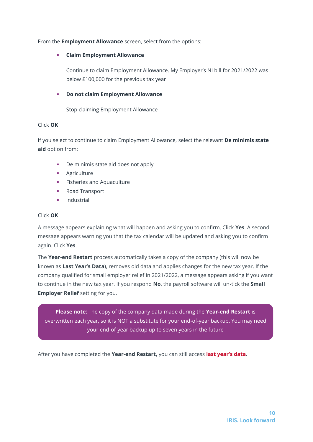#### From the **Employment Allowance** screen, select from the options:

#### **Claim Employment Allowance**

Continue to claim Employment Allowance. My Employer's NI bill for 2021/2022 was below £100,000 for the previous tax year

#### **Do** not claim Employment Allowance

Stop claiming Employment Allowance

#### Click **OK**

If you select to continue to claim Employment Allowance, select the relevant **De minimis state aid** option from:

- De minimis state aid does not apply
- **■** Agriculture
- **Exercises and Aquaculture**
- Road Transport
- Industrial

#### Click **OK**

A message appears explaining what will happen and asking you to confirm. Click **Yes**. A second message appears warning you that the tax calendar will be updated and asking you to confirm again. Click **Yes**.

The **Year-end Restart** process automatically takes a copy of the company (this will now be known as **Last Year's Data**), removes old data and applies changes for the new tax year. If the company qualified for small employer relief in 2021/2022, a message appears asking if you want to continue in the new tax year. If you respond **No**, the payroll software will un-tick the **Small Employer Relief** setting for you.

**Please note**: The copy of the company data made during the **Year-end Restart** is overwritten each year, so it is NOT a substitute for your end-of-year backup. You may need your end-of-year backup up to seven years in the future

After you have completed the **Year-end Restart,** you can still access **[last year's data](#page-5-0)**.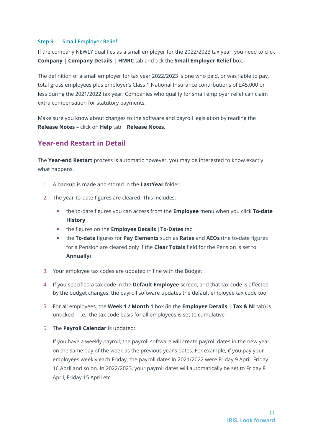#### **Step 9 Small Employer Relief**

If the company NEWLY qualifies as a small employer for the 2022/2023 tax year, you need to click **Company** | **Company Details** | **HMRC** tab and tick the **Small Employer Relief** box.

The definition of a small employer for tax year 2022/2023 is one who paid, or was liable to pay, total gross employees plus employer's Class 1 National Insurance contributions of £45,000 or less during the 2021/2022 tax year. Companies who qualify for small employer relief can claim extra compensation for statutory payments.

Make sure you know about changes to the software and payroll legislation by reading the **Release Notes** – click on **Help** tab | **Release Notes**.

## <span id="page-10-0"></span>**Year-end Restart in Detail**

The **Year-end Restart** process is automatic however, you may be interested to know exactly what happens.

- 1. A backup is made and stored in the **LastYear** folder
- 2. The year-to-date figures are cleared. This includes:
	- the to-date figures you can access from the **Employee** menu when you click **To-date History**
	- the figures on the **Employee Details |To-Dates** tab
	- the **To-date** figures for **Pay Elements** such as **Rates** and **AEOs** (the to-date figures for a Pension are cleared only if the **Clear Totals** field for the Pension is set to **Annually**)
- 3. Your employee tax codes are updated in line with the Budget
- 4. If you specified a tax code in the **Default Employee** screen, and that tax code is affected by the budget changes, the payroll software updates the default employee tax code too
- 5. For all employees, the **Week 1 / Month 1** box (in the **Employee Details | Tax & NI** tab) is unticked – i.e., the tax code basis for all employees is set to cumulative
- 6. The **Payroll Calendar** is updated:

If you have a weekly payroll, the payroll software will create payroll dates in the new year on the same day of the week as the previous year's dates. For example, if you pay your employees weekly each Friday, the payroll dates in 2021/2022 were Friday 9 April, Friday 16 April and so on. In 2022/2023, your payroll dates will automatically be set to Friday 8 April, Friday 15 April etc.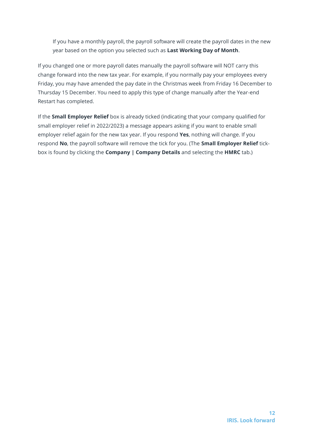If you have a monthly payroll, the payroll software will create the payroll dates in the new year based on the option you selected such as **Last Working Day of Month**.

If you changed one or more payroll dates manually the payroll software will NOT carry this change forward into the new tax year. For example, if you normally pay your employees every Friday, you may have amended the pay date in the Christmas week from Friday 16 December to Thursday 15 December. You need to apply this type of change manually after the Year-end Restart has completed.

If the **Small Employer Relief** box is already ticked (indicating that your company qualified for small employer relief in 2022/2023) a message appears asking if you want to enable small employer relief again for the new tax year. If you respond **Yes**, nothing will change. If you respond **No**, the payroll software will remove the tick for you. (The **Small Employer Relief** tickbox is found by clicking the **Company | Company Details** and selecting the **HMRC** tab.)